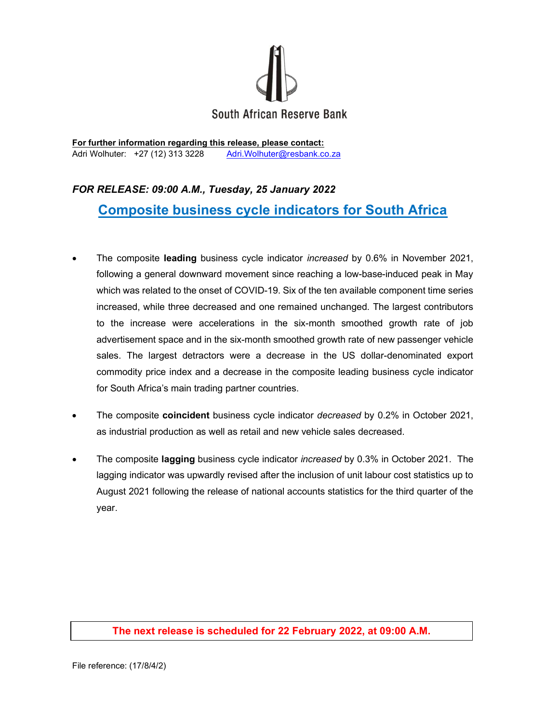

For further information regarding this release, please contact: Adri Wolhuter: +27 (12) 313 3228 Adri.Wolhuter@resbank.co.za

## FOR RELEASE: 09:00 A.M., Tuesday, 25 January 2022 Composite business cycle indicators for South Africa

- The composite leading business cycle indicator *increased* by 0.6% in November 2021, following a general downward movement since reaching a low-base-induced peak in May which was related to the onset of COVID-19. Six of the ten available component time series increased, while three decreased and one remained unchanged. The largest contributors to the increase were accelerations in the six-month smoothed growth rate of job advertisement space and in the six-month smoothed growth rate of new passenger vehicle sales. The largest detractors were a decrease in the US dollar-denominated export commodity price index and a decrease in the composite leading business cycle indicator for South Africa's main trading partner countries.
- The composite coincident business cycle indicator decreased by 0.2% in October 2021, as industrial production as well as retail and new vehicle sales decreased.
- The composite lagging business cycle indicator *increased* by 0.3% in October 2021. The lagging indicator was upwardly revised after the inclusion of unit labour cost statistics up to August 2021 following the release of national accounts statistics for the third quarter of the year.

## The next release is scheduled for 22 February 2022, at 09:00 A.M.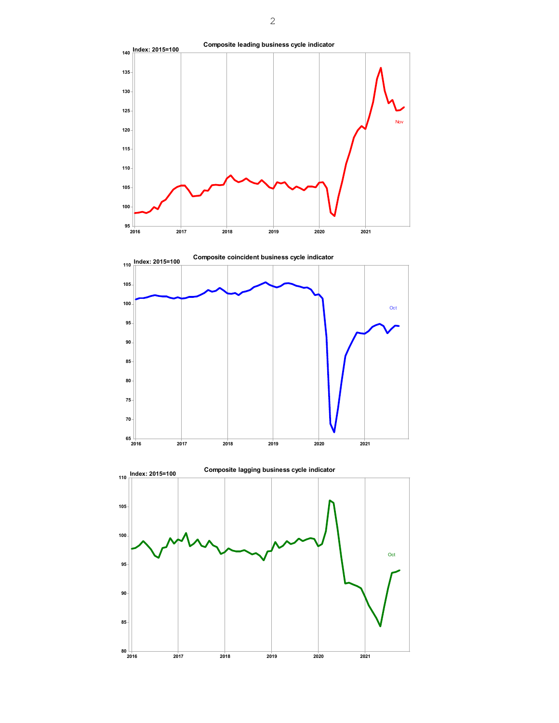



2017 2018 2019 2020 2021